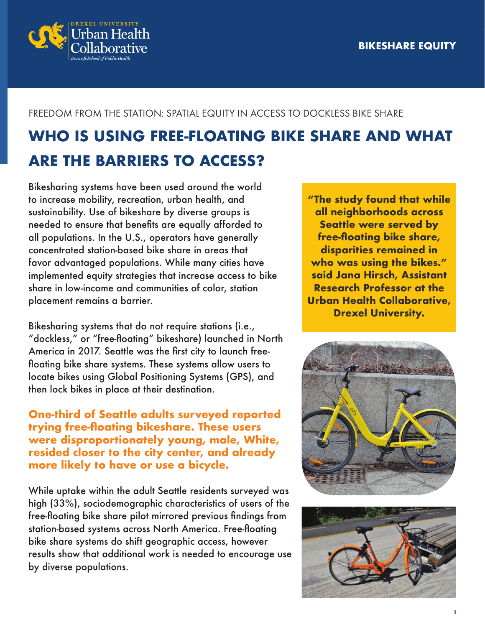

## FREEDOM FROM THE STATION: SPATIAL EQUITY IN ACCESS TO DOCKLESS BIKE SHARE

## **WHO IS USING FREE-FLOATING BIKE SHARE AND WHAT ARE THE BARRIERS TO ACCESS?**

Bikesharing systems have been used around the world to increase mobility, recreation, urban health, and sustainability. Use of bikeshare by diverse groups is needed to ensure that benefits are equally afforded to all populations. In the U.S., operators have generally concentrated station-based bike share in areas that favor advantaged populations. While many cities have implemented equity strategies that increase access to bike share in low-income and communities of color, station placement remains a barrier.

Bikesharing systems that do not require stations (i.e., "dockless," or "free-floating" bikeshare) launched in North America in 2017. Seattle was the first city to launch freefloating bike share systems. These systems allow users to locate bikes using Global Positioning Systems (GPS), and then lock bikes in place at their destination.

**One-third of Seattle adults surveyed reported trying free-floating bikeshare. These users were disproportionately young, male, White, resided closer to the city center, and already more likely to have or use a bicycle.** 

While uptake within the adult Seattle residents surveyed was high (33%), sociodemographic characteristics of users of the free-floating bike share pilot mirrored previous findings from station-based systems across North America. Free-floating bike share systems do shift geographic access, however results show that additional work is needed to encourage use by diverse populations.

**"The study found that while all neighborhoods across Seattle were served by free-floating bike share, disparities remained in who was using the bikes." said Jana Hirsch, Assistant Research Professor at the Urban Health Collaborative, Drexel University.**